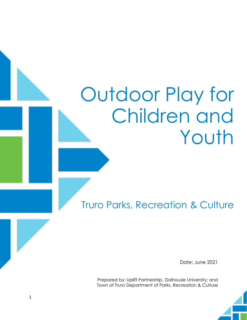# Outdoor Play for Children and Youth

Truro Parks, Recreation & Culture

Date: June 2021

Prepared by: Uplift Partnership, Dalhousie University; and Town of Truro Department of Parks, Recreation & Culture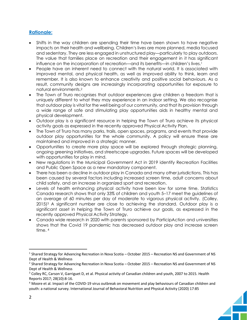### **Rationale:**

- Shifts in the way children are spending their time have been shown to have negative impacts on their health and wellbeing. Children's lives are more planned, media focused and sedentary. They are less engaged in unstructured play—particularly to play outdoors. The value that families place on recreation and their engagement in it has significant influence on the incorporation of recreation—and its benefits—in children's lives.<sup>1</sup>
- People have an inherent need to connect with the natural world. It is associated with improved mental, and physical health, as well as improved ability to think, learn and remember. It is also known to enhance creativity and positive social behaviours. As a result, community designs are increasingly incorporating opportunities for exposure to natural environments.<sup>2</sup>
- The Town of Truro recognises that outdoor experiences give children a freedom that is uniquely different to what they may experience in an indoor setting. We also recognise that outdoor play is vital for the well being of our community, and that its provision through a wide range of safe and stimulating play opportunities aids in healthy mental and physical development.
- Outdoor play is a significant resource in helping the Town of Truro achieve its physical activity goals as expressed in the recently approved Physical Activity Plan.
- The Town of Truro has many parks, trails, open spaces, programs, and events that provide outdoor play opportunities for the whole community. A policy will ensure these are maintained and improved in a strategic manner.
- Opportunities to create more play space will be explored through strategic planning, ongoing greening initiatives, and streetscape upgrades. Future spaces will be developed with opportunities for play in mind.
- New regulations in the Municipal Government Act in 2019 identify Recreation Facilities and Public Open Space as a new mandatory component.
- There has been a decline in outdoor play in Canada and many other jurisdictions. This has been caused by several factors including increased screen time, adult concerns about child safety, and an increase in organized sport and recreation.
- Levels of health enhancing physical activity have been low for some time. Statistics Canada research shows that only 33% of children and youth 5–17 meet the guidelines of an average of 60 minutes per day of moderate to vigorous physical activity. (Colley, 2015)<sup>3</sup> A significant number are close to achieving the standard. Outdoor play is a significant asset in helping the Town of Truro achieve our goals, as expressed in the recently approved Physical Activity Strategy.
- Canada wide research in 2020 with parents sponsored by ParticipAction and universities shows that the Covid 19 pandemic has decreased outdoor play and increase screen time.<sup>4</sup>

<sup>&</sup>lt;sup>1</sup> Shared Strategy for Advancing Recreation in Nova Scotia – October 2015 – Recreation NS and Government of NS Dept of Health & Wellness

<sup>&</sup>lt;sup>2</sup> Shared Strategy for Advancing Recreation in Nova Scotia – October 2015 – Recreation NS and Government of NS Dept of Health & Wellness

<sup>&</sup>lt;sup>3</sup> Colley RC, Carson V, Garriguet D, et al. Physical activity of Canadian children and youth, 2007 to 2015. Health Reports 2017; 28(10):8-16.

<sup>4</sup> Moore et al. Impact of the COVID-19 virus outbreak on movement and play behaviours of Canadian children and youth: a national survey. International Journal of Behavioral Nutrition and Physical Activity (2020) 17:85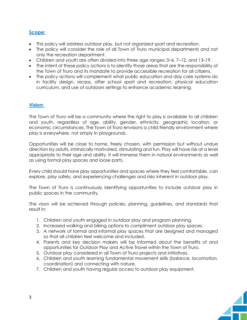# **Scope:**

- This policy will address outdoor play, but not organized sport and recreation.
- The policy will consider the role of all Town of Truro municipal departments and not only the recreation department.
- Children and youth are often divided into three age ranges: 0–6, 7–12, and 13–19.
- The intent of these policy actions is to identify those areas that are the responsibility of the Town of Truro and its mandate to provide accessible recreation for all citizens.
- The policy actions will complement what public education and day care systems do in facility design, recess, after school sport and recreation, physical education curriculum, and use of outdoors settings to enhance academic learning.

## **Vision**:

The Town of Truro will be a community where the right to play is available to all children and youth, regardless of age, ability, gender, ethnicity, geographic location, or economic circumstances. The Town of Truro envisions a child friendly environment where play is everywhere, not simply in playgrounds.

Opportunities will be close to home, freely chosen, with permission but without undue direction by adults, intrinsically motivated, stimulating and fun. Play will have risk at a level appropriate to their age and ability. It will immerse them in natural environments as well as using formal play spaces and loose parts.

Every child should have play opportunities and spaces where they feel comfortable, can explore, play safely, and experiencing challenges and risks inherent in outdoor play.

The Town of Truro is continuously identifying opportunities to include outdoor play in public spaces in the community.

The vison will be achieved through policies, planning, guidelines, and standards that result in:

- 1. Children and youth engaged in outdoor play and program planning.
- 2. Increased walking and biking options to compliment outdoor play spaces.
- 3. A network of formal and informal play spaces that are designed and managed so that all children feel welcome and included.
- 4. Parents and key decision makers will be informed about the benefits of and opportunities for Outdoor Play and Active Travel within the Town of Truro.
- 5. Outdoor play considered in all Town of Truro projects and initiatives.
- 6. Children and youth learning fundamental movement skills (balance, locomotion, coordination) and connecting with nature.
- 7. Children and youth having regular access to outdoor play equipment.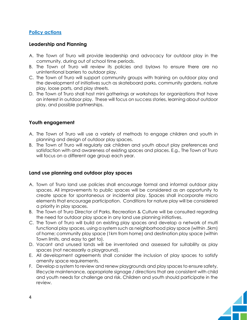#### **Policy actions**

#### **Leadership and Planning**

- A. The Town of Truro will provide leadership and advocacy for outdoor play in the community, during out of school time periods.
- B. The Town of Truro will review its policies and bylaws to ensure there are no unintentional barriers to outdoor play.
- C. The Town of Truro will support community groups with training on outdoor play and the development of initiatives such as skateboard parks, community gardens, nature play, loose parts, and play streets.
- D. The Town of Truro shall host mini gatherings or workshops for organizations that have an interest in outdoor play. These will focus on success stories, learning about outdoor play, and possible partnerships.

#### **Youth engagement**

- A. The Town of Truro will use a variety of methods to engage children and youth in planning and design of outdoor play spaces.
- B. The Town of Truro will regularly ask children and youth about play preferences and satisfaction with and awareness of existing spaces and places. E.g., The Town of Truro will focus on a different age group each year.

#### **Land use planning and outdoor play spaces**

- A. Town of Truro land use policies shall encourage formal and informal outdoor play spaces. All improvements to public spaces will be considered as an opportunity to create space for spontaneous or incidental play. Spaces shall incorporate micro elements that encourage participation. Conditions for nature play will be considered a priority in play spaces.
- B. The Town of Truro Director of Parks, Recreation & Culture will be consulted regarding the need for outdoor play space in any land use planning initiatives.
- C. The Town of Truro will build on existing play spaces and develop a network of multi functional play spaces, using a system such as neighborhood play space (within .5km) of home; community play space (1km from home) and destination play space (within Town limits, and easy to get to).
- D. Vacant and unused lands will be inventoried and assessed for suitability as play spaces (not necessarily a playground).
- E. All development agreements shall consider the inclusion of play spaces to satisfy amenity space requirements.
- F. Develop a system to review and renew playgrounds and play spaces to ensure safety, lifecycle maintenance, appropriate signage / directions that are consistent with child and youth needs for challenge and risk. Children and youth should participate in the review.

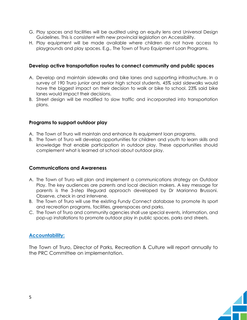- G. Play spaces and facilities will be audited using an equity lens and Universal Design Guidelines. This is consistent with new provincial legislation on Accessibility.
- H. Play equipment will be made available where children do not have access to playgrounds and play spaces. E.g., The Town of Truro Equipment Loan Programs.

#### **Develop active transportation routes to connect community and public spaces**

- A. Develop and maintain sidewalks and bike lanes and supporting infrastructure. In a survey of 190 Truro junior and senior high school students, 45% said sidewalks would have the biggest impact on their decision to walk or bike to school. 23% said bike lanes would impact their decisions.
- B. Street design will be modified to slow traffic and incorporated into transportation plans.

#### **Programs to support outdoor play**

- A. The Town of Truro will maintain and enhance its equipment loan programs.
- B. The Town of Truro will develop opportunities for children and youth to learn skills and knowledge that enable participation in outdoor play. These opportunities should complement what is learned at school about outdoor play.

#### **Communications and Awareness**

- A. The Town of Truro will plan and implement a communications strategy on Outdoor Play. The key audiences are parents and local decision makers. A key message for parents is the 3-step lifeguard approach developed by Dr Marianna Brussoni. Observe, check in and intervene.
- B. The Town of Truro will use the existing Fundy Connect database to promote its sport and recreation programs, facilities, greenspaces and parks.
- C. The Town of Truro and community agencies shall use special events, information, and pop-up installations to promote outdoor play in public spaces, parks and streets.

#### **Accountability:**

The Town of Truro, Director of Parks, Recreation & Culture will report annually to the PRC Committee on implementation.